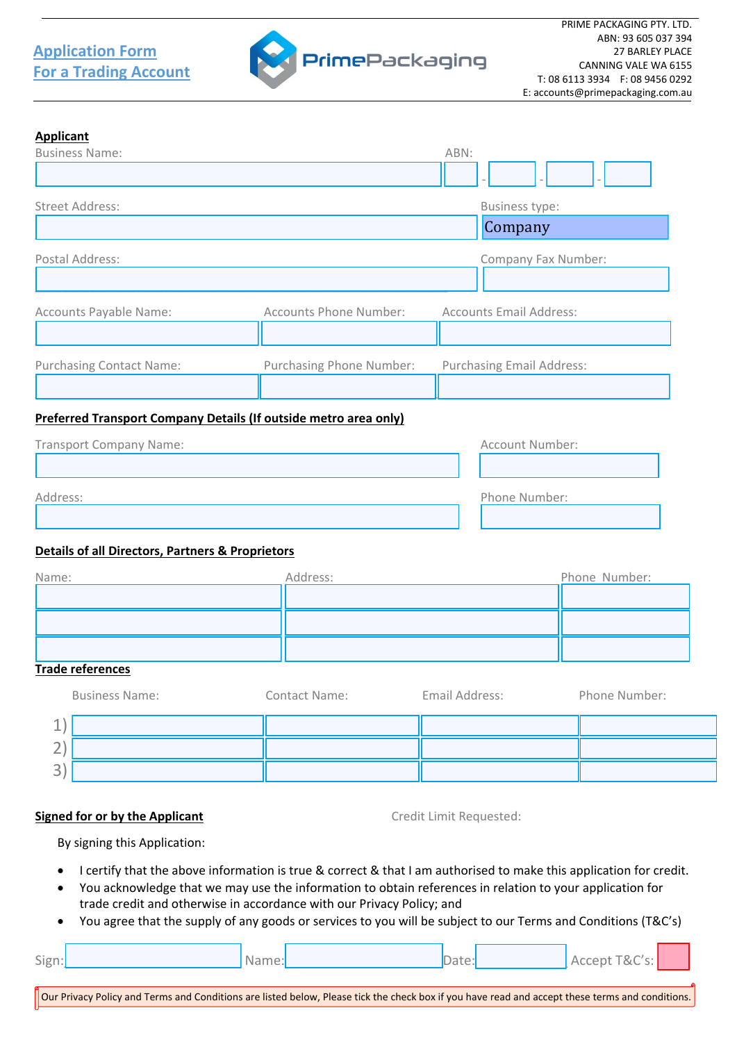## **For a Trading Account Application Form**



## **Applicant**

| <b>Business Name:</b>           |                                 | ABN:                             |
|---------------------------------|---------------------------------|----------------------------------|
|                                 |                                 |                                  |
| Street Address:                 |                                 | <b>Business type:</b>            |
|                                 |                                 | Company                          |
| Postal Address:                 |                                 | Company Fax Number:              |
| Accounts Payable Name:          | <b>Accounts Phone Number:</b>   | <b>Accounts Email Address:</b>   |
|                                 |                                 |                                  |
| <b>Purchasing Contact Name:</b> | <b>Purchasing Phone Number:</b> | <b>Purchasing Email Address:</b> |
|                                 |                                 |                                  |

## **Preferred Transport Company Details (If outside metro area only)**

| <b>Transport Company Name:</b> | Account Number: |
|--------------------------------|-----------------|
|                                |                 |
| Address:                       | Phone Number:   |
|                                |                 |

## **Details of all Directors, Partners & Proprietors**

| Name: | Address: | Phone Number: |
|-------|----------|---------------|
|       |          |               |
|       |          |               |
|       |          |               |

### **Trade references**

Г

|             | <b>Business Name:</b> | Contact Name: | Email Address: | Phone Number: |
|-------------|-----------------------|---------------|----------------|---------------|
| ᅩ           |                       |               |                |               |
| $\sim$<br>← |                       |               |                |               |
| 3           |                       |               |                |               |

## **Signed for or by the Applicant** Credit Limit Requested:

By signing this Application:

- I certify that the above information is true & correct & that I am authorised to make this application for credit.
- You acknowledge that we may use the information to obtain references in relation to your application for trade credit and otherwise in accordance with our Privacy Policy; and
- You agree that the supply of any goods or services to you will be subject to our Terms and Conditions (T&C's)

| Sign:<br>$\tilde{}$ | Name: |  | $\sim$ $\sim$ $\sim$ $\sim$ $\sim$ $\sim$<br>™&ປ<br>ccent<br>A(f)<br>، ب |  |
|---------------------|-------|--|--------------------------------------------------------------------------|--|
|                     |       |  |                                                                          |  |

г

Our Privacy Policy and Terms and Conditions are listed below, Please tick the check box if you have read and accept these terms and conditions.